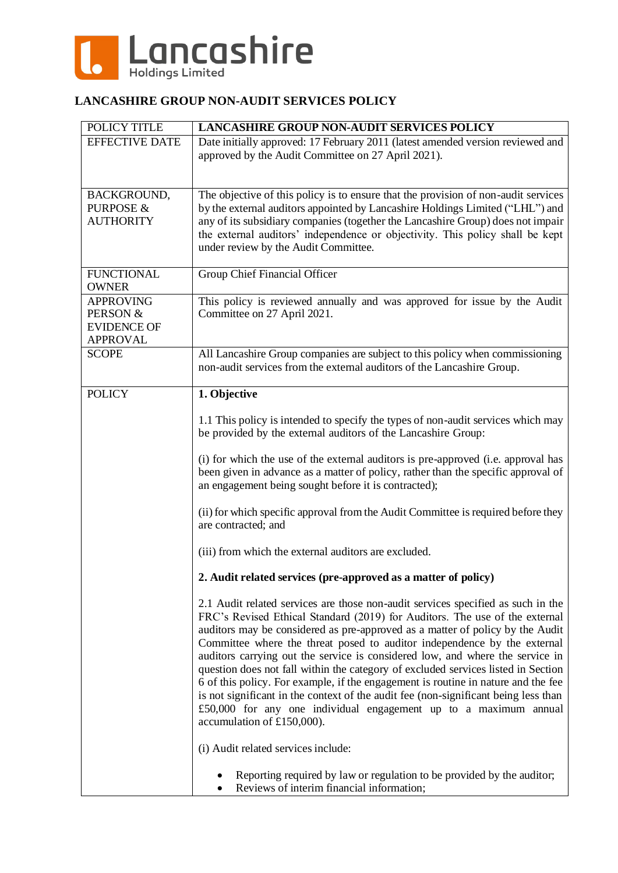

#### **LANCASHIRE GROUP NON-AUDIT SERVICES POLICY**

| POLICY TITLE                                                          | <b>LANCASHIRE GROUP NON-AUDIT SERVICES POLICY</b>                                                                                                                                                                                                                                                                                                                                                                                                                                                                                                                                                                                                                                                                                                                                |
|-----------------------------------------------------------------------|----------------------------------------------------------------------------------------------------------------------------------------------------------------------------------------------------------------------------------------------------------------------------------------------------------------------------------------------------------------------------------------------------------------------------------------------------------------------------------------------------------------------------------------------------------------------------------------------------------------------------------------------------------------------------------------------------------------------------------------------------------------------------------|
| <b>EFFECTIVE DATE</b>                                                 | Date initially approved: 17 February 2011 (latest amended version reviewed and<br>approved by the Audit Committee on 27 April 2021).                                                                                                                                                                                                                                                                                                                                                                                                                                                                                                                                                                                                                                             |
| BACKGROUND,<br><b>PURPOSE &amp;</b><br><b>AUTHORITY</b>               | The objective of this policy is to ensure that the provision of non-audit services<br>by the external auditors appointed by Lancashire Holdings Limited ("LHL") and<br>any of its subsidiary companies (together the Lancashire Group) does not impair<br>the external auditors' independence or objectivity. This policy shall be kept<br>under review by the Audit Committee.                                                                                                                                                                                                                                                                                                                                                                                                  |
| <b>FUNCTIONAL</b><br><b>OWNER</b>                                     | Group Chief Financial Officer                                                                                                                                                                                                                                                                                                                                                                                                                                                                                                                                                                                                                                                                                                                                                    |
| <b>APPROVING</b><br>PERSON &<br><b>EVIDENCE OF</b><br><b>APPROVAL</b> | This policy is reviewed annually and was approved for issue by the Audit<br>Committee on 27 April 2021.                                                                                                                                                                                                                                                                                                                                                                                                                                                                                                                                                                                                                                                                          |
| <b>SCOPE</b>                                                          | All Lancashire Group companies are subject to this policy when commissioning<br>non-audit services from the external auditors of the Lancashire Group.                                                                                                                                                                                                                                                                                                                                                                                                                                                                                                                                                                                                                           |
| <b>POLICY</b>                                                         | 1. Objective                                                                                                                                                                                                                                                                                                                                                                                                                                                                                                                                                                                                                                                                                                                                                                     |
|                                                                       | 1.1 This policy is intended to specify the types of non-audit services which may<br>be provided by the external auditors of the Lancashire Group:                                                                                                                                                                                                                                                                                                                                                                                                                                                                                                                                                                                                                                |
|                                                                       | (i) for which the use of the external auditors is pre-approved (i.e. approval has<br>been given in advance as a matter of policy, rather than the specific approval of<br>an engagement being sought before it is contracted);                                                                                                                                                                                                                                                                                                                                                                                                                                                                                                                                                   |
|                                                                       | (ii) for which specific approval from the Audit Committee is required before they<br>are contracted; and                                                                                                                                                                                                                                                                                                                                                                                                                                                                                                                                                                                                                                                                         |
|                                                                       | (iii) from which the external auditors are excluded.                                                                                                                                                                                                                                                                                                                                                                                                                                                                                                                                                                                                                                                                                                                             |
|                                                                       | 2. Audit related services (pre-approved as a matter of policy)                                                                                                                                                                                                                                                                                                                                                                                                                                                                                                                                                                                                                                                                                                                   |
|                                                                       | 2.1 Audit related services are those non-audit services specified as such in the<br>FRC's Revised Ethical Standard (2019) for Auditors. The use of the external<br>auditors may be considered as pre-approved as a matter of policy by the Audit<br>Committee where the threat posed to auditor independence by the external<br>auditors carrying out the service is considered low, and where the service in<br>question does not fall within the category of excluded services listed in Section<br>6 of this policy. For example, if the engagement is routine in nature and the fee<br>is not significant in the context of the audit fee (non-significant being less than<br>£50,000 for any one individual engagement up to a maximum annual<br>accumulation of £150,000). |
|                                                                       | (i) Audit related services include:                                                                                                                                                                                                                                                                                                                                                                                                                                                                                                                                                                                                                                                                                                                                              |
|                                                                       | Reporting required by law or regulation to be provided by the auditor;<br>Reviews of interim financial information;                                                                                                                                                                                                                                                                                                                                                                                                                                                                                                                                                                                                                                                              |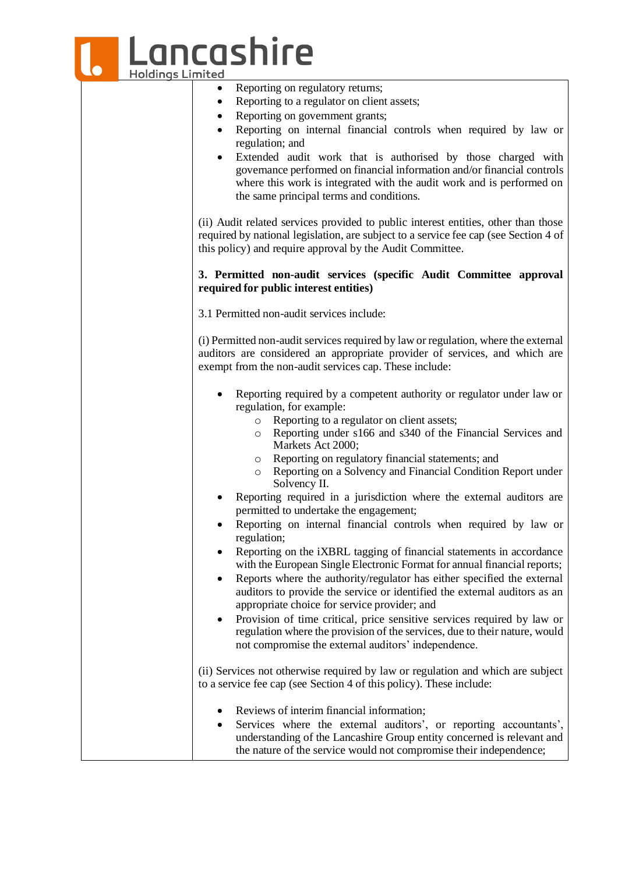|                         | Lancashire                                                                                                                                                                                                                                                                                                                                                    |
|-------------------------|---------------------------------------------------------------------------------------------------------------------------------------------------------------------------------------------------------------------------------------------------------------------------------------------------------------------------------------------------------------|
| <b>Holdings Limited</b> |                                                                                                                                                                                                                                                                                                                                                               |
|                         | Reporting on regulatory returns;<br>٠                                                                                                                                                                                                                                                                                                                         |
|                         | Reporting to a regulator on client assets;                                                                                                                                                                                                                                                                                                                    |
|                         | Reporting on government grants;                                                                                                                                                                                                                                                                                                                               |
|                         | Reporting on internal financial controls when required by law or<br>$\bullet$                                                                                                                                                                                                                                                                                 |
|                         | regulation; and                                                                                                                                                                                                                                                                                                                                               |
|                         | Extended audit work that is authorised by those charged with<br>$\bullet$<br>governance performed on financial information and/or financial controls<br>where this work is integrated with the audit work and is performed on<br>the same principal terms and conditions.                                                                                     |
|                         | (ii) Audit related services provided to public interest entities, other than those<br>required by national legislation, are subject to a service fee cap (see Section 4 of<br>this policy) and require approval by the Audit Committee.                                                                                                                       |
|                         | 3. Permitted non-audit services (specific Audit Committee approval<br>required for public interest entities)                                                                                                                                                                                                                                                  |
|                         | 3.1 Permitted non-audit services include:                                                                                                                                                                                                                                                                                                                     |
|                         | (i) Permitted non-audit services required by law or regulation, where the external<br>auditors are considered an appropriate provider of services, and which are<br>exempt from the non-audit services cap. These include:                                                                                                                                    |
|                         | Reporting required by a competent authority or regulator under law or<br>regulation, for example:<br>Reporting to a regulator on client assets;<br>$\circ$<br>Reporting under s166 and s340 of the Financial Services and<br>$\circ$<br>Markets Act 2000;                                                                                                     |
|                         | Reporting on regulatory financial statements; and<br>$\circ$<br>Reporting on a Solvency and Financial Condition Report under<br>$\circ$<br>Solvency II.                                                                                                                                                                                                       |
|                         | Reporting required in a jurisdiction where the external auditors are<br>permitted to undertake the engagement;                                                                                                                                                                                                                                                |
|                         | Reporting on internal financial controls when required by law or<br>regulation;                                                                                                                                                                                                                                                                               |
|                         | Reporting on the iXBRL tagging of financial statements in accordance<br>٠<br>with the European Single Electronic Format for annual financial reports;<br>Reports where the authority/regulator has either specified the external<br>auditors to provide the service or identified the external auditors as an<br>appropriate choice for service provider; and |
|                         | Provision of time critical, price sensitive services required by law or<br>٠<br>regulation where the provision of the services, due to their nature, would<br>not compromise the external auditors' independence.                                                                                                                                             |
|                         | (ii) Services not otherwise required by law or regulation and which are subject<br>to a service fee cap (see Section 4 of this policy). These include:                                                                                                                                                                                                        |
|                         | Reviews of interim financial information;<br>Services where the external auditors', or reporting accountants',<br>$\bullet$<br>understanding of the Lancashire Group entity concerned is relevant and<br>the nature of the service would not compromise their independence;                                                                                   |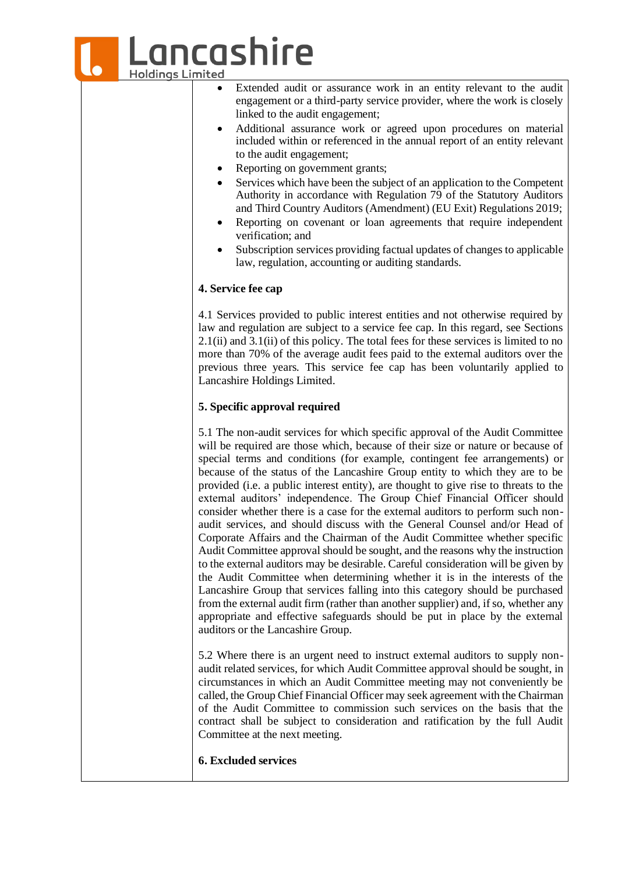## ancashire **Holdings Limited**

- Extended audit or assurance work in an entity relevant to the audit engagement or a third-party service provider, where the work is closely linked to the audit engagement;
- Additional assurance work or agreed upon procedures on material included within or referenced in the annual report of an entity relevant to the audit engagement;
- Reporting on government grants;
- Services which have been the subject of an application to the Competent Authority in accordance with Regulation 79 of the Statutory Auditors and Third Country Auditors (Amendment) (EU Exit) Regulations 2019;
- Reporting on covenant or loan agreements that require independent verification; and
- Subscription services providing factual updates of changes to applicable law, regulation, accounting or auditing standards.

#### **4. Service fee cap**

4.1 Services provided to public interest entities and not otherwise required by law and regulation are subject to a service fee cap. In this regard, see Sections  $2.1(i)$  and  $3.1(i)$  of this policy. The total fees for these services is limited to no more than 70% of the average audit fees paid to the external auditors over the previous three years. This service fee cap has been voluntarily applied to Lancashire Holdings Limited.

#### **5. Specific approval required**

5.1 The non-audit services for which specific approval of the Audit Committee will be required are those which, because of their size or nature or because of special terms and conditions (for example, contingent fee arrangements) or because of the status of the Lancashire Group entity to which they are to be provided (i.e. a public interest entity), are thought to give rise to threats to the external auditors' independence. The Group Chief Financial Officer should consider whether there is a case for the external auditors to perform such nonaudit services, and should discuss with the General Counsel and/or Head of Corporate Affairs and the Chairman of the Audit Committee whether specific Audit Committee approval should be sought, and the reasons why the instruction to the external auditors may be desirable. Careful consideration will be given by the Audit Committee when determining whether it is in the interests of the Lancashire Group that services falling into this category should be purchased from the external audit firm (rather than another supplier) and, if so, whether any appropriate and effective safeguards should be put in place by the external auditors or the Lancashire Group.

5.2 Where there is an urgent need to instruct external auditors to supply nonaudit related services, for which Audit Committee approval should be sought, in circumstances in which an Audit Committee meeting may not conveniently be called, the Group Chief Financial Officer may seek agreement with the Chairman of the Audit Committee to commission such services on the basis that the contract shall be subject to consideration and ratification by the full Audit Committee at the next meeting.

#### **6. Excluded services**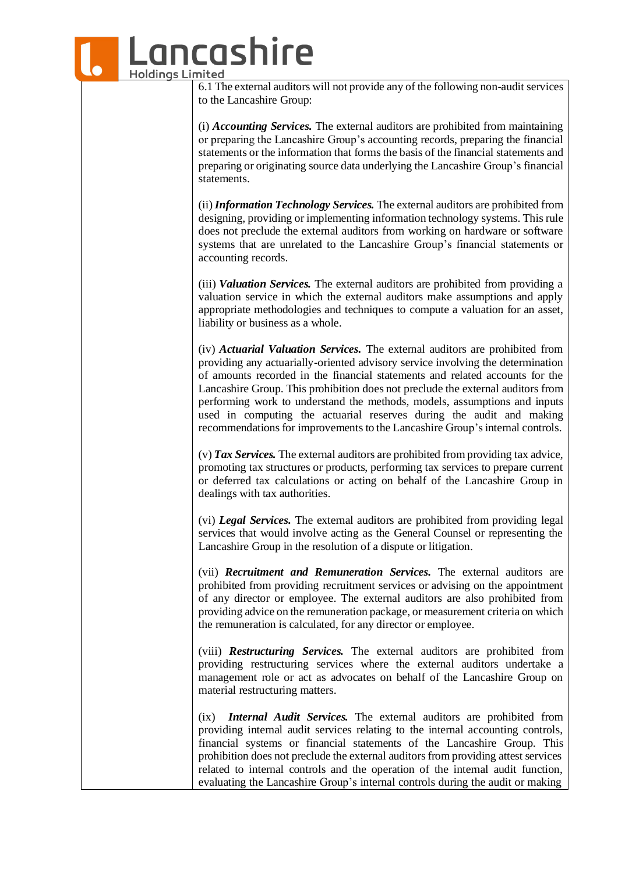### ancashire **Holdings Limited** 6.1 The external auditors will not provide any of the following non-audit services to the Lancashire Group:

(i) *Accounting Services.* The external auditors are prohibited from maintaining or preparing the Lancashire Group's accounting records, preparing the financial statements or the information that forms the basis of the financial statements and preparing or originating source data underlying the Lancashire Group's financial statements.

(ii)*Information Technology Services.* The external auditors are prohibited from designing, providing or implementing information technology systems. Thisrule does not preclude the external auditors from working on hardware or software systems that are unrelated to the Lancashire Group's financial statements or accounting records.

(iii) *Valuation Services.* The external auditors are prohibited from providing a valuation service in which the external auditors make assumptions and apply appropriate methodologies and techniques to compute a valuation for an asset, liability or business as a whole.

(iv) *Actuarial Valuation Services.* The external auditors are prohibited from providing any actuarially-oriented advisory service involving the determination of amounts recorded in the financial statements and related accounts for the Lancashire Group. This prohibition does not preclude the external auditors from performing work to understand the methods, models, assumptions and inputs used in computing the actuarial reserves during the audit and making recommendations for improvements to the Lancashire Group's internal controls.

(v) *Tax Services.* The external auditors are prohibited from providing tax advice, promoting tax structures or products, performing tax services to prepare current or deferred tax calculations or acting on behalf of the Lancashire Group in dealings with tax authorities.

(vi) *Legal Services.* The external auditors are prohibited from providing legal services that would involve acting as the General Counsel or representing the Lancashire Group in the resolution of a dispute or litigation.

(vii) *Recruitment and Remuneration Services.* The external auditors are prohibited from providing recruitment services or advising on the appointment of any director or employee. The external auditors are also prohibited from providing advice on the remuneration package, or measurement criteria on which the remuneration is calculated, for any director or employee.

(viii) *Restructuring Services.* The external auditors are prohibited from providing restructuring services where the external auditors undertake a management role or act as advocates on behalf of the Lancashire Group on material restructuring matters.

(ix) *Internal Audit Services.* The external auditors are prohibited from providing internal audit services relating to the internal accounting controls, financial systems or financial statements of the Lancashire Group. This prohibition does not preclude the external auditors from providing attest services related to internal controls and the operation of the internal audit function, evaluating the Lancashire Group's internal controls during the audit or making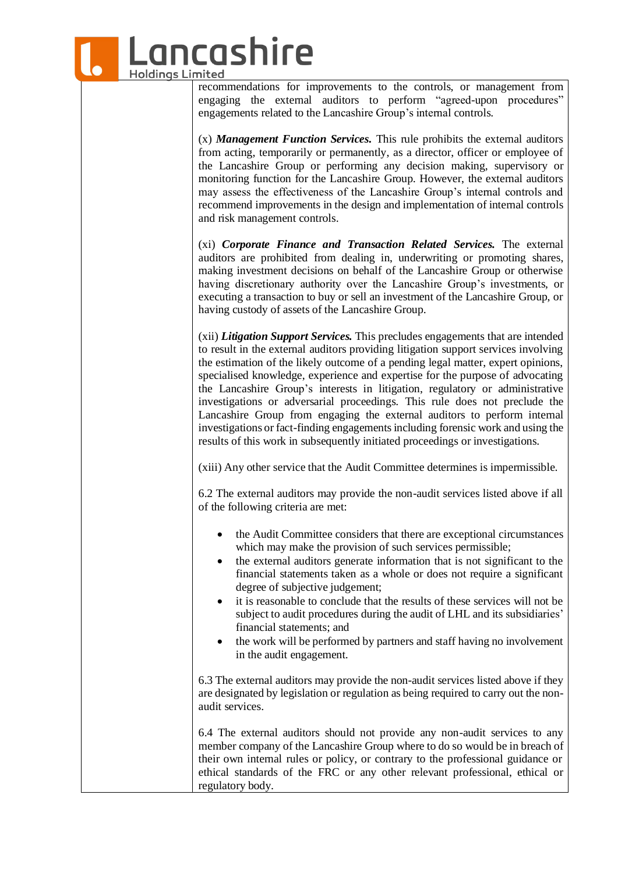## ancashire **Holdings Limited**

recommendations for improvements to the controls, or management from engaging the external auditors to perform "agreed-upon procedures" engagements related to the Lancashire Group's internal controls.

(x) *Management Function Services.* This rule prohibits the external auditors from acting, temporarily or permanently, as a director, officer or employee of the Lancashire Group or performing any decision making, supervisory or monitoring function for the Lancashire Group. However, the external auditors may assess the effectiveness of the Lancashire Group's internal controls and recommend improvements in the design and implementation of internal controls and risk management controls.

(xi) *Corporate Finance and Transaction Related Services.* The external auditors are prohibited from dealing in, underwriting or promoting shares, making investment decisions on behalf of the Lancashire Group or otherwise having discretionary authority over the Lancashire Group's investments, or executing a transaction to buy or sell an investment of the Lancashire Group, or having custody of assets of the Lancashire Group.

(xii) *Litigation Support Services.* This precludes engagements that are intended to result in the external auditors providing litigation support services involving the estimation of the likely outcome of a pending legal matter, expert opinions, specialised knowledge, experience and expertise for the purpose of advocating the Lancashire Group's interests in litigation, regulatory or administrative investigations or adversarial proceedings. This rule does not preclude the Lancashire Group from engaging the external auditors to perform internal investigations or fact-finding engagements including forensic work and using the results of this work in subsequently initiated proceedings or investigations.

(xiii) Any other service that the Audit Committee determines is impermissible.

6.2 The external auditors may provide the non-audit services listed above if all of the following criteria are met:

- the Audit Committee considers that there are exceptional circumstances which may make the provision of such services permissible;
- the external auditors generate information that is not significant to the financial statements taken as a whole or does not require a significant degree of subjective judgement;
- it is reasonable to conclude that the results of these services will not be subject to audit procedures during the audit of LHL and its subsidiaries' financial statements; and
- the work will be performed by partners and staff having no involvement in the audit engagement.

6.3 The external auditors may provide the non-audit services listed above if they are designated by legislation or regulation as being required to carry out the nonaudit services.

6.4 The external auditors should not provide any non-audit services to any member company of the Lancashire Group where to do so would be in breach of their own internal rules or policy, or contrary to the professional guidance or ethical standards of the FRC or any other relevant professional, ethical or regulatory body.